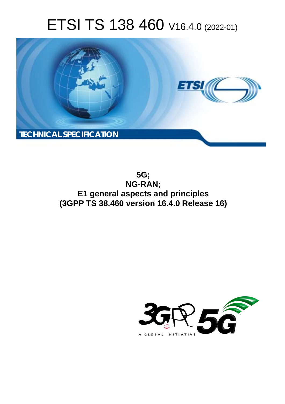# ETSI TS 138 460 V16.4.0 (2022-01)



**5G; NG-RAN; E1 general aspects and principles (3GPP TS 38.460 version 16.4.0 Release 16)** 

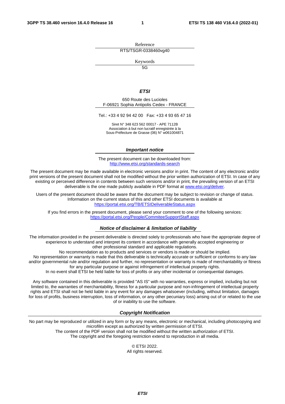Reference RTS/TSGR-0338460vg40

Keywords

 $\overline{5G}$ 

#### *ETSI*

650 Route des Lucioles F-06921 Sophia Antipolis Cedex - FRANCE

Tel.: +33 4 92 94 42 00 Fax: +33 4 93 65 47 16

Siret N° 348 623 562 00017 - APE 7112B Association à but non lucratif enregistrée à la Sous-Préfecture de Grasse (06) N° w061004871

#### *Important notice*

The present document can be downloaded from: <http://www.etsi.org/standards-search>

The present document may be made available in electronic versions and/or in print. The content of any electronic and/or print versions of the present document shall not be modified without the prior written authorization of ETSI. In case of any existing or perceived difference in contents between such versions and/or in print, the prevailing version of an ETSI deliverable is the one made publicly available in PDF format at [www.etsi.org/deliver](http://www.etsi.org/deliver).

Users of the present document should be aware that the document may be subject to revision or change of status. Information on the current status of this and other ETSI documents is available at <https://portal.etsi.org/TB/ETSIDeliverableStatus.aspx>

If you find errors in the present document, please send your comment to one of the following services: <https://portal.etsi.org/People/CommiteeSupportStaff.aspx>

#### *Notice of disclaimer & limitation of liability*

The information provided in the present deliverable is directed solely to professionals who have the appropriate degree of experience to understand and interpret its content in accordance with generally accepted engineering or other professional standard and applicable regulations.

No recommendation as to products and services or vendors is made or should be implied.

No representation or warranty is made that this deliverable is technically accurate or sufficient or conforms to any law and/or governmental rule and/or regulation and further, no representation or warranty is made of merchantability or fitness for any particular purpose or against infringement of intellectual property rights.

In no event shall ETSI be held liable for loss of profits or any other incidental or consequential damages.

Any software contained in this deliverable is provided "AS IS" with no warranties, express or implied, including but not limited to, the warranties of merchantability, fitness for a particular purpose and non-infringement of intellectual property rights and ETSI shall not be held liable in any event for any damages whatsoever (including, without limitation, damages for loss of profits, business interruption, loss of information, or any other pecuniary loss) arising out of or related to the use of or inability to use the software.

#### *Copyright Notification*

No part may be reproduced or utilized in any form or by any means, electronic or mechanical, including photocopying and microfilm except as authorized by written permission of ETSI. The content of the PDF version shall not be modified without the written authorization of ETSI.

The copyright and the foregoing restriction extend to reproduction in all media.

© ETSI 2022. All rights reserved.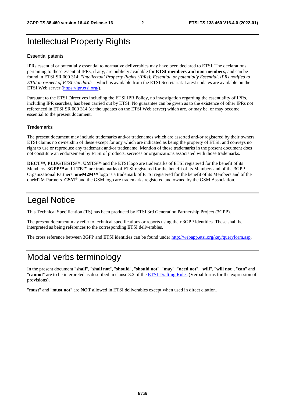### Intellectual Property Rights

#### Essential patents

IPRs essential or potentially essential to normative deliverables may have been declared to ETSI. The declarations pertaining to these essential IPRs, if any, are publicly available for **ETSI members and non-members**, and can be found in ETSI SR 000 314: *"Intellectual Property Rights (IPRs); Essential, or potentially Essential, IPRs notified to ETSI in respect of ETSI standards"*, which is available from the ETSI Secretariat. Latest updates are available on the ETSI Web server ([https://ipr.etsi.org/\)](https://ipr.etsi.org/).

Pursuant to the ETSI Directives including the ETSI IPR Policy, no investigation regarding the essentiality of IPRs, including IPR searches, has been carried out by ETSI. No guarantee can be given as to the existence of other IPRs not referenced in ETSI SR 000 314 (or the updates on the ETSI Web server) which are, or may be, or may become, essential to the present document.

#### **Trademarks**

The present document may include trademarks and/or tradenames which are asserted and/or registered by their owners. ETSI claims no ownership of these except for any which are indicated as being the property of ETSI, and conveys no right to use or reproduce any trademark and/or tradename. Mention of those trademarks in the present document does not constitute an endorsement by ETSI of products, services or organizations associated with those trademarks.

**DECT™**, **PLUGTESTS™**, **UMTS™** and the ETSI logo are trademarks of ETSI registered for the benefit of its Members. **3GPP™** and **LTE™** are trademarks of ETSI registered for the benefit of its Members and of the 3GPP Organizational Partners. **oneM2M™** logo is a trademark of ETSI registered for the benefit of its Members and of the oneM2M Partners. **GSM**® and the GSM logo are trademarks registered and owned by the GSM Association.

### Legal Notice

This Technical Specification (TS) has been produced by ETSI 3rd Generation Partnership Project (3GPP).

The present document may refer to technical specifications or reports using their 3GPP identities. These shall be interpreted as being references to the corresponding ETSI deliverables.

The cross reference between 3GPP and ETSI identities can be found under<http://webapp.etsi.org/key/queryform.asp>.

### Modal verbs terminology

In the present document "**shall**", "**shall not**", "**should**", "**should not**", "**may**", "**need not**", "**will**", "**will not**", "**can**" and "**cannot**" are to be interpreted as described in clause 3.2 of the [ETSI Drafting Rules](https://portal.etsi.org/Services/editHelp!/Howtostart/ETSIDraftingRules.aspx) (Verbal forms for the expression of provisions).

"**must**" and "**must not**" are **NOT** allowed in ETSI deliverables except when used in direct citation.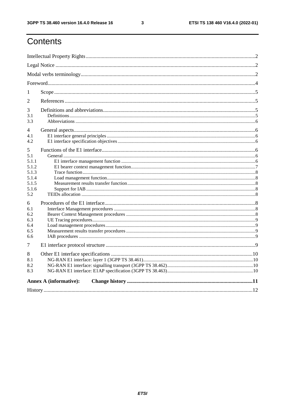$\mathbf{3}$ 

# Contents

| 1                                           |                               |  |  |  |  |  |  |
|---------------------------------------------|-------------------------------|--|--|--|--|--|--|
| 2                                           |                               |  |  |  |  |  |  |
| 3<br>3.1<br>3.3                             |                               |  |  |  |  |  |  |
| 4<br>4.1<br>4.2                             |                               |  |  |  |  |  |  |
| 5<br>5.1<br>5.1.1<br>5.1.2                  |                               |  |  |  |  |  |  |
| 5.1.3<br>5.1.4<br>5.1.5<br>5.1.6<br>5.2     |                               |  |  |  |  |  |  |
| 6<br>6.1<br>6.2<br>6.3<br>6.4<br>6.5<br>6.6 |                               |  |  |  |  |  |  |
| 7                                           |                               |  |  |  |  |  |  |
| 8<br>8.1<br>8.2<br>8.3                      |                               |  |  |  |  |  |  |
|                                             | <b>Annex A (informative):</b> |  |  |  |  |  |  |
|                                             |                               |  |  |  |  |  |  |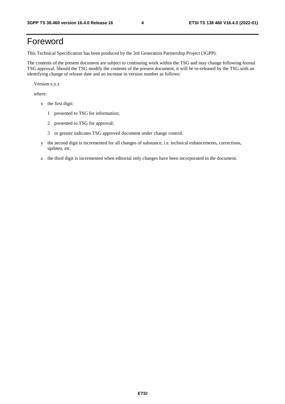# Foreword

This Technical Specification has been produced by the 3rd Generation Partnership Project (3GPP).

The contents of the present document are subject to continuing work within the TSG and may change following formal TSG approval. Should the TSG modify the contents of the present document, it will be re-released by the TSG with an identifying change of release date and an increase in version number as follows:

Version x.y.z

where:

- x the first digit:
	- 1 presented to TSG for information;
	- 2 presented to TSG for approval;
	- 3 or greater indicates TSG approved document under change control.
- y the second digit is incremented for all changes of substance, i.e. technical enhancements, corrections, updates, etc.
- z the third digit is incremented when editorial only changes have been incorporated in the document.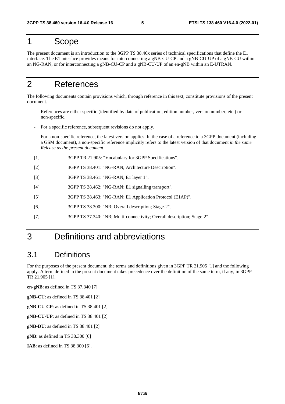### 1 Scope

The present document is an introduction to the 3GPP TS 38.46x series of technical specifications that define the E1 interface. The E1 interface provides means for interconnecting a gNB-CU-CP and a gNB-CU-UP of a gNB-CU within an NG-RAN, or for interconnecting a gNB-CU-CP and a gNB-CU-UP of an en-gNB within an E-UTRAN.

### 2 References

The following documents contain provisions which, through reference in this text, constitute provisions of the present document.

- References are either specific (identified by date of publication, edition number, version number, etc.) or non-specific.
- For a specific reference, subsequent revisions do not apply.
- For a non-specific reference, the latest version applies. In the case of a reference to a 3GPP document (including a GSM document), a non-specific reference implicitly refers to the latest version of that document *in the same Release as the present document*.
- [1] 3GPP TR 21.905: "Vocabulary for 3GPP Specifications".
- [2] 3GPP TS 38.401: "NG-RAN; Architecture Description".
- [3] 3GPP TS 38.461: "NG-RAN; E1 layer 1".
- [4] 3GPP TS 38.462: "NG-RAN; E1 signalling transport".
- [5] 3GPP TS 38.463: "NG-RAN; E1 Application Protocol (E1AP)".
- [6] 3GPP TS 38.300: "NR; Overall description; Stage-2".
- [7] 3GPP TS 37.340: "NR; Multi-connectivity; Overall description; Stage-2".

### 3 Definitions and abbreviations

#### 3.1 Definitions

For the purposes of the present document, the terms and definitions given in 3GPP TR 21.905 [1] and the following apply. A term defined in the present document takes precedence over the definition of the same term, if any, in 3GPP TR 21.905 [1].

**en-gNB**: as defined in TS 37.340 [7]

**gNB-CU**: as defined in TS 38.401 [2]

**gNB-CU-CP**: as defined in TS 38.401 [2]

**gNB-CU-UP**: as defined in TS 38.401 [2]

**gNB-DU**: as defined in TS 38.401 [2]

**gNB**: as defined in TS 38.300 [6]

**IAB**: as defined in TS 38.300 [6].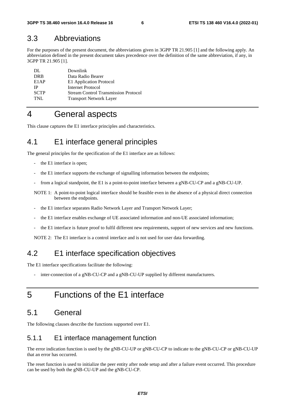#### 3.3 Abbreviations

For the purposes of the present document, the abbreviations given in 3GPP TR 21.905 [1] and the following apply. An abbreviation defined in the present document takes precedence over the definition of the same abbreviation, if any, in 3GPP TR 21.905 [1].

| DL                | Downlink                                    |
|-------------------|---------------------------------------------|
| <b>DRB</b>        | Data Radio Bearer                           |
| E <sub>1</sub> AP | E1 Application Protocol                     |
| ΙP                | Internet Protocol                           |
| <b>SCTP</b>       | <b>Stream Control Transmission Protocol</b> |
| TNL               | <b>Transport Network Layer</b>              |

### 4 General aspects

This clause captures the E1 interface principles and characteristics.

### 4.1 E1 interface general principles

The general principles for the specification of the E1 interface are as follows:

- the E1 interface is open;
- the E1 interface supports the exchange of signalling information between the endpoints;
- from a logical standpoint, the E1 is a point-to-point interface between a gNB-CU-CP and a gNB-CU-UP.
- NOTE 1: A point-to-point logical interface should be feasible even in the absence of a physical direct connection between the endpoints.
- the E1 interface separates Radio Network Layer and Transport Network Layer;
- the E1 interface enables exchange of UE associated information and non-UE associated information;
- the E1 interface is future proof to fulfil different new requirements, support of new services and new functions.

NOTE 2: The E1 interface is a control interface and is not used for user data forwarding.

### 4.2 E1 interface specification objectives

The E1 interface specifications facilitate the following:

inter-connection of a gNB-CU-CP and a gNB-CU-UP supplied by different manufacturers.

### 5 Functions of the E1 interface

### 5.1 General

The following clauses describe the functions supported over E1.

#### 5.1.1 E1 interface management function

The error indication function is used by the gNB-CU-UP or gNB-CU-CP to indicate to the gNB-CU-CP or gNB-CU-UP that an error has occurred.

The reset function is used to initialize the peer entity after node setup and after a failure event occurred. This procedure can be used by both the gNB-CU-UP and the gNB-CU-CP.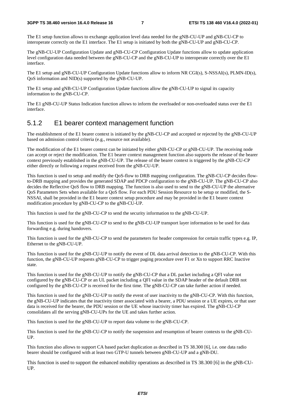The E1 setup function allows to exchange application level data needed for the gNB-CU-UP and gNB-CU-CP to interoperate correctly on the E1 interface. The E1 setup is initiated by both the gNB-CU-UP and gNB-CU-CP.

The gNB-CU-UP Configuration Update and gNB-CU-CP Configuration Update functions allow to update application level configuration data needed between the gNB-CU-CP and the gNB-CU-UP to interoperate correctly over the E1 interface.

The E1 setup and gNB-CU-UP Configuration Update functions allow to inform NR CGI(s), S-NSSAI(s), PLMN-ID(s), QoS information and NID(s) supported by the gNB-CU-UP.

The E1 setup and gNB-CU-UP Configuration Update functions allow the gNB-CU-UP to signal its capacity information to the gNB-CU-CP.

The E1 gNB-CU-UP Status Indication function allows to inform the overloaded or non-overloaded status over the E1 interface.

#### 5.1.2 E1 bearer context management function

The establishment of the E1 bearer context is initiated by the gNB-CU-CP and accepted or rejected by the gNB-CU-UP based on admission control criteria (e.g., resource not available).

The modification of the E1 bearer context can be initiated by either gNB-CU-CP or gNB-CU-UP. The receiving node can accept or reject the modification. The E1 bearer context management function also supports the release of the bearer context previously established in the gNB-CU-UP. The release of the bearer context is triggered by the gNB-CU-CP either directly or following a request received from the gNB-CU-UP.

This function is used to setup and modify the QoS-flow to DRB mapping configuration. The gNB-CU-CP decides flowto-DRB mapping and provides the generated SDAP and PDCP configuration to the gNB-CU-UP. The gNB-CU-CP also decides the Reflective QoS flow to DRB mapping. The function is also used to send to the gNB-CU-UP the alternative QoS Parameters Sets when available for a QoS flow. For each PDU Session Resource to be setup or modified, the S-NSSAI, shall be provided in the E1 bearer context setup procedure and may be provided in the E1 bearer context modification procedure by gNB-CU-CP to the gNB-CU-UP.

This function is used for the gNB-CU-CP to send the security information to the gNB-CU-UP.

This function is used for the gNB-CU-CP to send to the gNB-CU-UP transport layer information to be used for data forwarding e.g. during handovers.

This function is used for the gNB-CU-CP to send the parameters for header compression for certain traffic types e.g. IP, Ethernet to the gNB-CU-UP.

This function is used for the gNB-CU-UP to notify the event of DL data arrival detection to the gNB-CU-CP. With this function, the gNB-CU-UP requests gNB-CU-CP to trigger paging procedure over F1 or Xn to support RRC Inactive state.

This function is used for the gNB-CU-UP to notify the gNB-CU-CP that a DL packet including a QFI value not configured by the gNB-CU-CP or an UL packet including a QFI value in the SDAP header of the default DRB not configured by the gNB-CU-CP is received for the first time. The gNB-CU-CP can take further action if needed.

This function is used for the gNB-CU-UP to notify the event of user inactivity to the gNB-CU-CP. With this function, the gNB-CU-UP indicates that the inactivity timer associated with a bearer, a PDU session or a UE expires, or that user data is received for the bearer, the PDU session or the UE whose inactivity timer has expired. The gNB-CU-CP consolidates all the serving gNB-CU-UPs for the UE and takes further action.

This function is used for the gNB-CU-UP to report data volume to the gNB-CU-CP.

This function is used for the gNB-CU-CP to notify the suspension and resumption of bearer contexts to the gNB-CU-UP.

This function also allows to support CA based packet duplication as described in TS 38.300 [6], i.e. one data radio bearer should be configured with at least two GTP-U tunnels between gNB-CU-UP and a gNB-DU.

This function is used to support the enhanced mobility operations as described in TS 38.300 [6] in the gNB-CU-UP.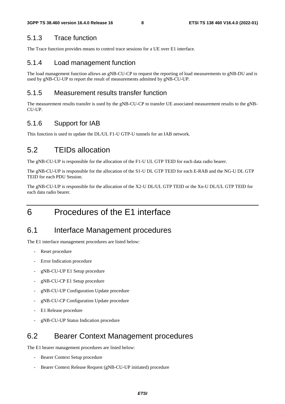#### 5.1.3 Trace function

The Trace function provides means to control trace sessions for a UE over E1 interface.

#### 5.1.4 Load management function

The load management function allows an gNB-CU-CP to request the reporting of load measurements to gNB-DU and is used by gNB-CU-UP to report the result of measurements admitted by gNB-CU-UP.

#### 5.1.5 Measurement results transfer function

The measurement results transfer is used by the gNB-CU-CP to transfer UE associated measurement results to the gNB-CU-UP.

#### 5.1.6 Support for IAB

This function is used to update the DL/UL F1-U GTP-U tunnels for an IAB network.

### 5.2 TEIDs allocation

The gNB-CU-UP is responsible for the allocation of the F1-U UL GTP TEID for each data radio bearer.

The gNB-CU-UP is responsible for the allocation of the S1-U DL GTP TEID for each E-RAB and the NG-U DL GTP TEID for each PDU Session.

The gNB-CU-UP is responsible for the allocation of the X2-U DL/UL GTP TEID or the Xn-U DL/UL GTP TEID for each data radio bearer.

# 6 Procedures of the E1 interface

### 6.1 Interface Management procedures

The E1 interface management procedures are listed below:

- Reset procedure
- Error Indication procedure
- gNB-CU-UP E1 Setup procedure
- gNB-CU-CP E1 Setup procedure
- gNB-CU-UP Configuration Update procedure
- gNB-CU-CP Configuration Update procedure
- E1 Release procedure
- gNB-CU-UP Status Indication procedure

### 6.2 Bearer Context Management procedures

The E1 bearer management procedures are listed below:

- Bearer Context Setup procedure
- Bearer Context Release Request (gNB-CU-UP initiated) procedure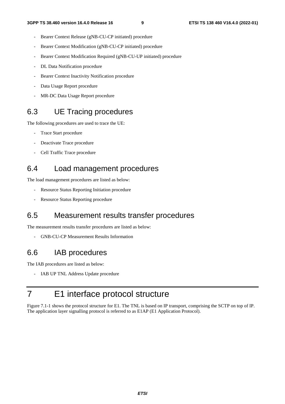- Bearer Context Release (gNB-CU-CP initiated) procedure
- Bearer Context Modification (gNB-CU-CP initiated) procedure
- Bearer Context Modification Required (gNB-CU-UP initiated) procedure
- DL Data Notification procedure
- Bearer Context Inactivity Notification procedure
- Data Usage Report procedure
- MR-DC Data Usage Report procedure

### 6.3 UE Tracing procedures

The following procedures are used to trace the UE:

- Trace Start procedure
- Deactivate Trace procedure
- Cell Traffic Trace procedure

#### 6.4 Load management procedures

The load management procedures are listed as below:

- Resource Status Reporting Initiation procedure
- Resource Status Reporting procedure

#### 6.5 Measurement results transfer procedures

The measurement results transfer procedures are listed as below:

- GNB-CU-CP Measurement Results Information

#### 6.6 IAB procedures

The IAB procedures are listed as below:

- IAB UP TNL Address Update procedure

### 7 E1 interface protocol structure

Figure 7.1-1 shows the protocol structure for E1. The TNL is based on IP transport, comprising the SCTP on top of IP. The application layer signalling protocol is referred to as E1AP (E1 Application Protocol).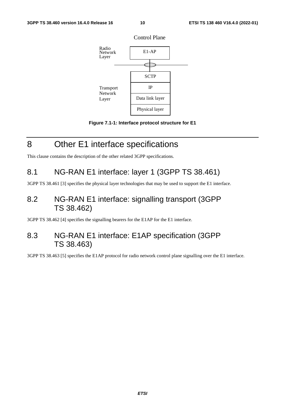

Control Plane



# 8 Other E1 interface specifications

This clause contains the description of the other related 3GPP specifications.

### 8.1 NG-RAN E1 interface: layer 1 (3GPP TS 38.461)

3GPP TS 38.461 [3] specifies the physical layer technologies that may be used to support the E1 interface.

### 8.2 NG-RAN E1 interface: signalling transport (3GPP TS 38.462)

3GPP TS 38.462 [4] specifies the signalling bearers for the E1AP for the E1 interface.

### 8.3 NG-RAN E1 interface: E1AP specification (3GPP TS 38.463)

3GPP TS 38.463 [5] specifies the E1AP protocol for radio network control plane signalling over the E1 interface.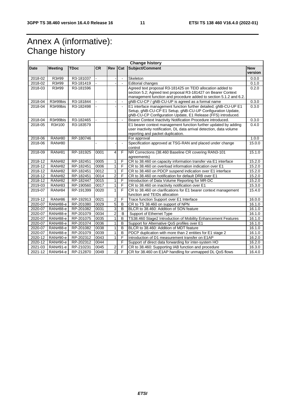# Annex A (informative): Change history

| <b>Date</b> | <b>Meeting</b>  | <b>TDoc</b> | <b>CR</b> | Rev            | Cat                      | <b>Change history</b><br>Subject/Comment                                                                                           | <b>New</b> |
|-------------|-----------------|-------------|-----------|----------------|--------------------------|------------------------------------------------------------------------------------------------------------------------------------|------------|
|             |                 |             |           |                |                          |                                                                                                                                    | version    |
| 2018-02     | R3#99           | R3-181037   | ÷.        |                | $\sim$                   | Skeleton                                                                                                                           | 0.0.0      |
| 2018-02     | R3#99           | R3-181419   |           |                | $\overline{\phantom{a}}$ | <b>Editorial changes</b>                                                                                                           | 0.1.0      |
| 2018-03     | R3#99           | R3-181596   |           |                |                          | Agreed text proposal R3-181425 on TEID allocation added to                                                                         | 0.2.0      |
|             |                 |             |           |                |                          | section 5.2; Agreed text proposal R3-181427 on Bearer Context<br>management function and procedure added to section 5.1.2 and 6.2. |            |
| 2018-04     | R3#99bis        | R3-181844   |           |                | $\Box$                   | gNB-CU-CP / gNB-CU-UP is agreed as a formal name                                                                                   | 0.3.0      |
| 2018-04     | R3#99bis        | R3-182498   |           |                | $\sim$                   | E1 interface management function further detailed; gNB-CU-UP E1                                                                    | 0.3.0      |
|             |                 |             |           |                |                          | Setup, gNB-CU-CP E1 Setup, gNB-CU-UP Configuration Update,<br>gNB-CU-CP Configuration Update, E1 Release (FFS) introduced.         |            |
| 2018-04     | R3#99bis        | R3-182465   |           |                | $\blacksquare$           | Bearer Context Inactivity Notification Procedure introduced.                                                                       | 0.3.0      |
| 2018-05     | R3#100          | R3-183579   |           |                |                          | E1 bearer context management function further updated by adding                                                                    | 0.4.0      |
|             |                 |             |           |                |                          | user inactivity notification, DL data arrival detection, data volume<br>reporting and packet duplication.                          |            |
| 2018-06     | <b>RAN#80</b>   | RP-180746   |           |                |                          | For approval                                                                                                                       | 1.0.0      |
| 2018-06     | <b>RAN#80</b>   |             |           |                | $\sim$                   | Specification approved at TSG-RAN and placed under change<br>control                                                               | 15.0.0     |
| 2018-09     | <b>RAN#81</b>   | RP-181925   | 0001      | 4              | F                        | NR Corrections (38.460 Baseline CR covering RAN3-101<br>agreements)                                                                | 15.1.0     |
| 2018-12     | <b>RAN#82</b>   | RP-182451   | 0005      | $\mathbf{1}$   | F                        | CR to 38.460 on capacity information transfer via E1 interface                                                                     | 15.2.0     |
| 2018-12     | <b>RAN#82</b>   | RP-182451   | 0006      | $\mathbf{1}$   | F                        | CR to 38.460 on overload information indication over E1                                                                            | 15.2.0     |
| 2018-12     | <b>RAN#82</b>   | RP-182451   | 0012      | $\mathbf{1}$   | F                        | CR to 38.460 on PDCP suspend indication over E1 interface                                                                          | 15.2.0     |
| 2018-12     | <b>RAN#82</b>   | RP-182451   | 0014      | $\overline{2}$ | F                        | CR to 38.460 on notification for default DRB over E1                                                                               | 15.2.0     |
| 2018-12     | <b>RAN#82</b>   | RP-182447   | 0015      | $\mathbf{1}$   | F                        | Introduction of Data Volume Reporting for MR-DC                                                                                    | 15.2.0     |
| 2019-03     | <b>RAN#83</b>   | RP-190560   | 0017      | $\mathbf{1}$   | F                        | CR to 38.460 on inactivity notification over E1                                                                                    | 15.3.0     |
| 2019-07     | <b>RAN#84</b>   | RP-191399   | 0020      | $\mathbf{1}$   | F                        | CR to 38.460 on clarifications for E1 bearer context management<br>function and TEIDs allocation                                   | 15.4.0     |
| 2019-12     | <b>RAN#86</b>   | RP-192913   | 0021      | 2              | F                        | Trace function Support over E1 Interface                                                                                           | 16.0.0     |
| 2020-07     | <b>RAN#88-e</b> | RP-201080   | 0029      | $\overline{5}$ | B                        | CR to TS 38.460 on support of NPN                                                                                                  | 16.1.0     |
| 2020-07     | <b>RAN#88-e</b> | RP-201082   | 0031      | 3              | B                        | BLCR to 38.460: Addition of SON feature                                                                                            | 16.1.0     |
| 2020-07     | <b>RAN#88-e</b> | RP-201079   | 0034      | $\overline{c}$ | B                        | Support of Ethernet Type                                                                                                           | 16.1.0     |
| 2020-07     | <b>RAN#88-e</b> | RP-201075   | 0035      | $\mathbf{1}$   | B                        | TS38.460 Stage2 Introduction of Mobility Enhancement Features                                                                      | 16.1.0     |
| 2020-07     | <b>RAN#88-e</b> | RP-201074   | 0036      | $\mathbf{1}$   | B                        | Support for Alternative QoS profiles over E1                                                                                       | 16.1.0     |
| 2020-07     | <b>RAN#88-e</b> | RP-201082   | 0038      | $\mathbf{1}$   | B                        | BLCR to 38.460: Addition of MDT feature                                                                                            | 16.1.0     |
| 2020-07     | <b>RAN#88-e</b> | RP-201079   | 0039      | $\mathbf{1}$   | B                        | PDCP duplication with more than 2 entities for E1 stage 2                                                                          | 16.1.0     |
| 2020-12     | <b>RAN#90-e</b> | RP-202312   | 0043      | $\mathbf{1}$   | F                        | Introduction of D1 measurement transfer on E1AP                                                                                    | 16.2.0     |
| 2020-12     | <b>RAN#90-e</b> | RP-202312   | 0044      |                | F                        | Support of direct data forwarding for inter-system HO                                                                              | 16.2.0     |
| 2021-03     | RAN#91-e        | RP-210231   | 0045      | 2              | F                        | CR to 38.460: Supporting IAB function and procedure                                                                                | 16.3.0     |
| 2021-12     | RAN#94-e        | RP-212870   | 0049      | $\overline{2}$ | F                        | CR for 38.460 on E1AP handling for unmapped DL QoS flows                                                                           | 16.4.0     |